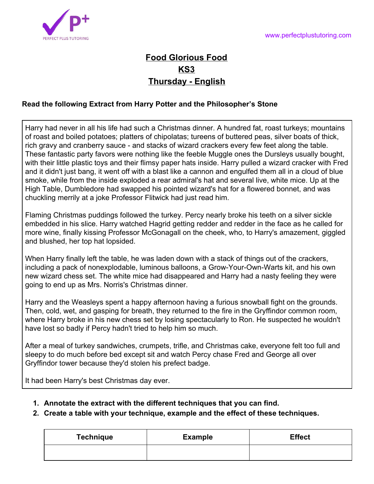

## **Food Glorious Food KS3 Thursday - English**

## **Read the following Extract from Harry Potter and the Philosopher's Stone**

Harry had never in all his life had such a Christmas dinner. A hundred fat, roast turkeys; mountains of roast and boiled potatoes; platters of chipolatas; tureens of buttered peas, silver boats of thick, rich gravy and cranberry sauce - and stacks of wizard crackers every few feet along the table. These fantastic party favors were nothing like the feeble Muggle ones the Dursleys usually bought, with their little plastic toys and their flimsy paper hats inside. Harry pulled a wizard cracker with Fred and it didn't just bang, it went off with a blast like a cannon and engulfed them all in a cloud of blue smoke, while from the inside exploded a rear admiral's hat and several live, white mice. Up at the High Table, Dumbledore had swapped his pointed wizard's hat for a flowered bonnet, and was chuckling merrily at a joke Professor Flitwick had just read him.

Flaming Christmas puddings followed the turkey. Percy nearly broke his teeth on a silver sickle embedded in his slice. Harry watched Hagrid getting redder and redder in the face as he called for more wine, finally kissing Professor McGonagall on the cheek, who, to Harry's amazement, giggled and blushed, her top hat lopsided.

When Harry finally left the table, he was laden down with a stack of things out of the crackers, including a pack of nonexplodable, luminous balloons, a Grow-Your-Own-Warts kit, and his own new wizard chess set. The white mice had disappeared and Harry had a nasty feeling they were going to end up as Mrs. Norris's Christmas dinner.

Harry and the Weasleys spent a happy afternoon having a furious snowball fight on the grounds. Then, cold, wet, and gasping for breath, they returned to the fire in the Gryffindor common room, where Harry broke in his new chess set by losing spectacularly to Ron. He suspected he wouldn't have lost so badly if Percy hadn't tried to help him so much.

After a meal of turkey sandwiches, crumpets, trifle, and Christmas cake, everyone felt too full and sleepy to do much before bed except sit and watch Percy chase Fred and George all over Gryffindor tower because they'd stolen his prefect badge.

It had been Harry's best Christmas day ever.

- **1. Annotate the extract with the different techniques that you can find.**
- **2. Create a table with your technique, example and the effect of these techniques.**

| <b>Technique</b> | <b>Example</b> | <b>Effect</b> |
|------------------|----------------|---------------|
|                  |                |               |